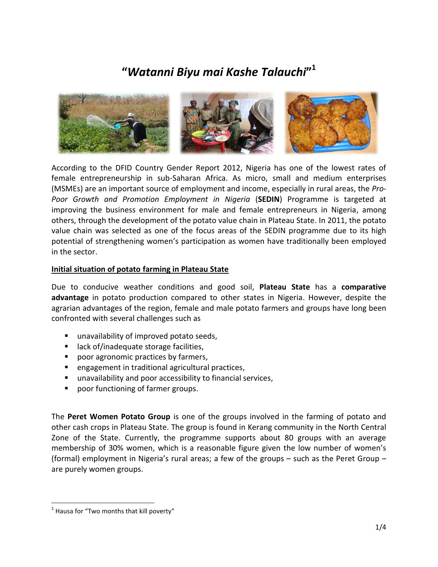# **"***Watanni Biyu mai Kashe Talauchi***" 1**



According to the DFID Country Gender Report 2012, Nigeria has one of the lowest rates of female entrepreneurship in sub-Saharan Africa. As micro, small and medium enterprises (MSMEs) are an important source of employment and income, especially in rural areas, the *Pro-Poor Growth and Promotion Employment in Nigeria* (**SEDIN**) Programme is targeted at improving the business environment for male and female entrepreneurs in Nigeria, among others, through the development of the potato value chain in Plateau State. In 2011, the potato value chain was selected as one of the focus areas of the SEDIN programme due to its high potential of strengthening women's participation as women have traditionally been employed in the sector.

#### **Initial situation of potato farming in Plateau State**

Due to conducive weather conditions and good soil, **Plateau State** has a **comparative advantage** in potato production compared to other states in Nigeria. However, despite the agrarian advantages of the region, female and male potato farmers and groups have long been confronted with several challenges such as

- unavailability of improved potato seeds,
- lack of/inadequate storage facilities,
- **P** poor agronomic practices by farmers,
- engagement in traditional agricultural practices,
- unavailability and poor accessibility to financial services,
- **Perogence 1** poor functioning of farmer groups.

The **Peret Women Potato Group** is one of the groups involved in the farming of potato and other cash crops in Plateau State. The group is found in Kerang community in the North Central Zone of the State. Currently, the programme supports about 80 groups with an average membership of 30% women, which is a reasonable figure given the low number of women's (formal) employment in Nigeria's rural areas; a few of the groups – such as the Peret Group – are purely women groups.

 $\overline{\phantom{a}}$ 

 $<sup>1</sup>$  Hausa for "Two months that kill poverty"</sup>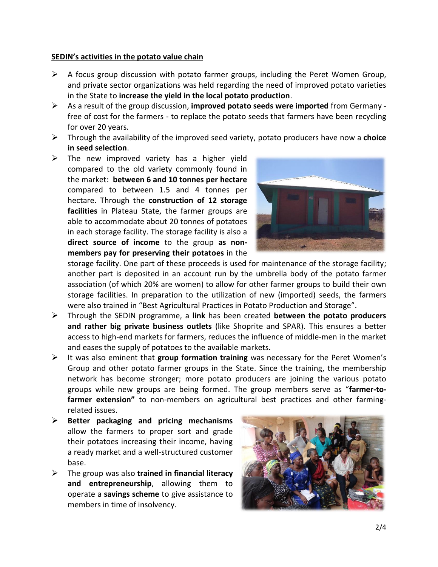#### **SEDIN's activities in the potato value chain**

- $\triangleright$  A focus group discussion with potato farmer groups, including the Peret Women Group, and private sector organizations was held regarding the need of improved potato varieties in the State to **increase the yield in the local potato production**.
- As a result of the group discussion, **improved potato seeds were imported** from Germany free of cost for the farmers - to replace the potato seeds that farmers have been recycling for over 20 years.
- Through the availability of the improved seed variety, potato producers have now a **choice in seed selection**.
- $\triangleright$  The new improved variety has a higher yield compared to the old variety commonly found in the market: **between 6 and 10 tonnes per hectare** compared to between 1.5 and 4 tonnes per hectare. Through the **construction of 12 storage facilities** in Plateau State, the farmer groups are able to accommodate about 20 tonnes of potatoes in each storage facility. The storage facility is also a **direct source of income** to the group **as nonmembers pay for preserving their potatoes** in the



storage facility. One part of these proceeds is used for maintenance of the storage facility; another part is deposited in an account run by the umbrella body of the potato farmer association (of which 20% are women) to allow for other farmer groups to build their own storage facilities. In preparation to the utilization of new (imported) seeds, the farmers were also trained in "Best Agricultural Practices in Potato Production and Storage".

- Through the SEDIN programme, a **link** has been created **between the potato producers and rather big private business outlets** (like Shoprite and SPAR). This ensures a better access to high-end markets for farmers, reduces the influence of middle-men in the market and eases the supply of potatoes to the available markets.
- It was also eminent that **group formation training** was necessary for the Peret Women's Group and other potato farmer groups in the State. Since the training, the membership network has become stronger; more potato producers are joining the various potato groups while new groups are being formed. The group members serve as "**farmer-tofarmer extension"** to non-members on agricultural best practices and other farmingrelated issues.
- **Better packaging and pricing mechanisms** allow the farmers to proper sort and grade their potatoes increasing their income, having a ready market and a well-structured customer base.
- The group was also **trained in financial literacy and entrepreneurship**, allowing them to operate a **savings scheme** to give assistance to members in time of insolvency.

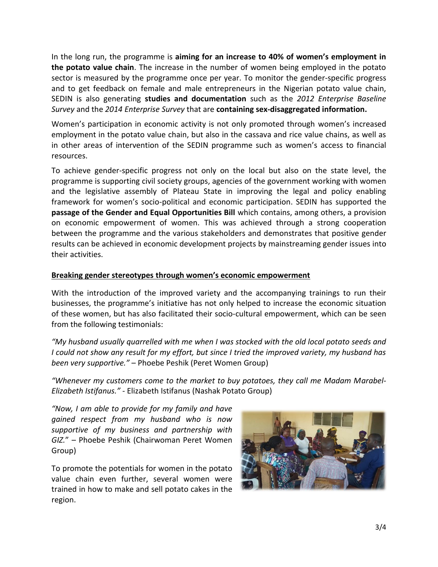In the long run, the programme is **aiming for an increase to 40% of women's employment in the potato value chain**. The increase in the number of women being employed in the potato sector is measured by the programme once per year. To monitor the gender-specific progress and to get feedback on female and male entrepreneurs in the Nigerian potato value chain, SEDIN is also generating **studies and documentation** such as the *2012 Enterprise Baseline Survey* and the *2014 Enterprise Survey* that are **containing sex-disaggregated information.**

Women's participation in economic activity is not only promoted through women's increased employment in the potato value chain, but also in the cassava and rice value chains, as well as in other areas of intervention of the SEDIN programme such as women's access to financial resources.

To achieve gender-specific progress not only on the local but also on the state level, the programme is supporting civil society groups, agencies of the government working with women and the legislative assembly of Plateau State in improving the legal and policy enabling framework for women's socio-political and economic participation. SEDIN has supported the **passage of the Gender and Equal Opportunities Bill** which contains, among others, a provision on economic empowerment of women. This was achieved through a strong cooperation between the programme and the various stakeholders and demonstrates that positive gender results can be achieved in economic development projects by mainstreaming gender issues into their activities.

## **Breaking gender stereotypes through women's economic empowerment**

With the introduction of the improved variety and the accompanying trainings to run their businesses, the programme's initiative has not only helped to increase the economic situation of these women, but has also facilitated their socio-cultural empowerment, which can be seen from the following testimonials:

*"My husband usually quarrelled with me when I was stocked with the old local potato seeds and I could not show any result for my effort, but since I tried the improved variety, my husband has been very supportive."* – Phoebe Peshik (Peret Women Group)

*"Whenever my customers come to the market to buy potatoes, they call me Madam Marabel-Elizabeth Istifanus."* - Elizabeth Istifanus (Nashak Potato Group)

*"Now, I am able to provide for my family and have gained respect from my husband who is now supportive of my business and partnership with GIZ.*" – Phoebe Peshik (Chairwoman Peret Women Group)

To promote the potentials for women in the potato value chain even further, several women were trained in how to make and sell potato cakes in the region.